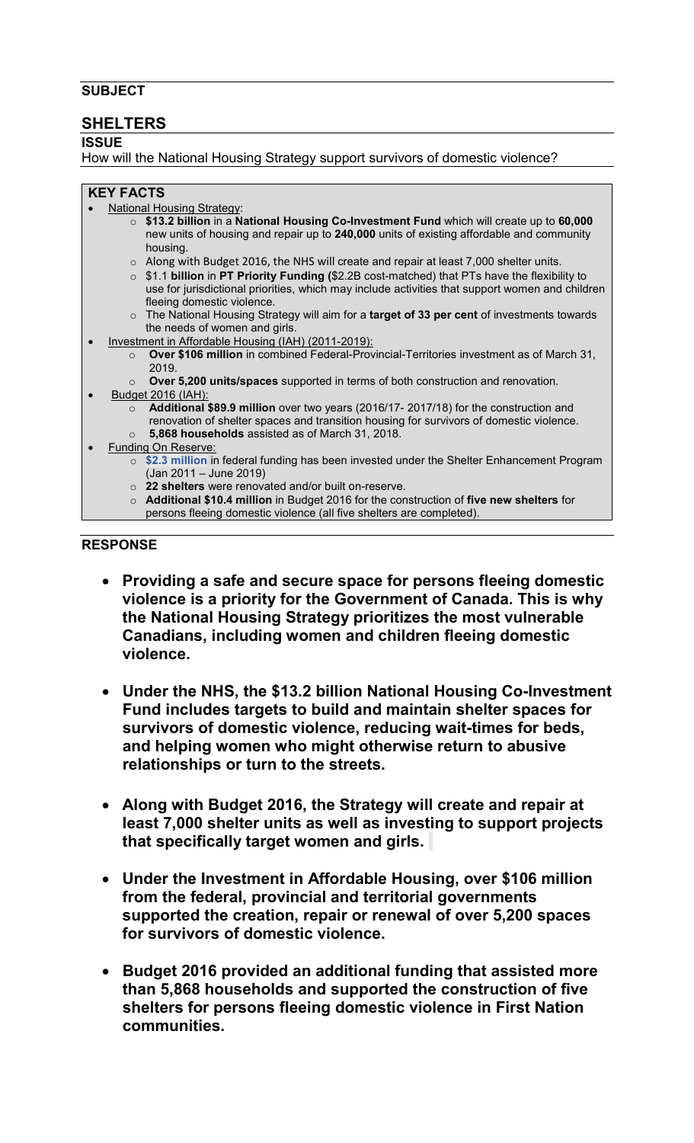## **SUBJECT**

# **SHELTERS**

### **ISSUE**

How will the National Housing Strategy support survivors of domestic violence?

#### **KEY FACTS**

- **National Housing Strategy:** 
	- o **\$13.2 billion** in a **National Housing Co-Investment Fund** which will create up to **60,000** new units of housing and repair up to **240,000** units of existing affordable and community housing.
	- $\circ$  Along with Budget 2016, the NHS will create and repair at least 7,000 shelter units.
	- o \$1.1 **billion** in **PT Priority Funding (**\$2.2B cost-matched) that PTs have the flexibility to use for jurisdictional priorities, which may include activities that support women and children fleeing domestic violence.
	- o The National Housing Strategy will aim for a **target of 33 per cent** of investments towards the needs of women and girls.
- Investment in Affordable Housing (IAH) (2011-2019):
	- o **Over \$106 million** in combined Federal-Provincial-Territories investment as of March 31, 2019.
	- o **Over 5,200 units/spaces** supported in terms of both construction and renovation.
- Budget 2016 (IAH):
	- o **Additional \$89.9 million** over two years (2016/17- 2017/18) for the construction and renovation of shelter spaces and transition housing for survivors of domestic violence. o **5,868 households** assisted as of March 31, 2018.
- Funding On Reserve:
	- o **\$2.3 million** in federal funding has been invested under the Shelter Enhancement Program (Jan 2011 – June 2019)
		- o **22 shelters** were renovated and/or built on-reserve.
		- o **Additional \$10.4 million** in Budget 2016 for the construction of **five new shelters** for
			- persons fleeing domestic violence (all five shelters are completed).

#### **RESPONSE**

- **Providing a safe and secure space for persons fleeing domestic violence is a priority for the Government of Canada. This is why the National Housing Strategy prioritizes the most vulnerable Canadians, including women and children fleeing domestic violence.**
- **Under the NHS, the \$13.2 billion National Housing Co-Investment Fund includes targets to build and maintain shelter spaces for survivors of domestic violence, reducing wait-times for beds, and helping women who might otherwise return to abusive relationships or turn to the streets.**
- **Along with Budget 2016, the Strategy will create and repair at least 7,000 shelter units as well as investing to support projects that specifically target women and girls.**
- **Under the Investment in Affordable Housing, over \$106 million from the federal, provincial and territorial governments supported the creation, repair or renewal of over 5,200 spaces for survivors of domestic violence.**
- **Budget 2016 provided an additional funding that assisted more than 5,868 households and supported the construction of five shelters for persons fleeing domestic violence in First Nation communities.**